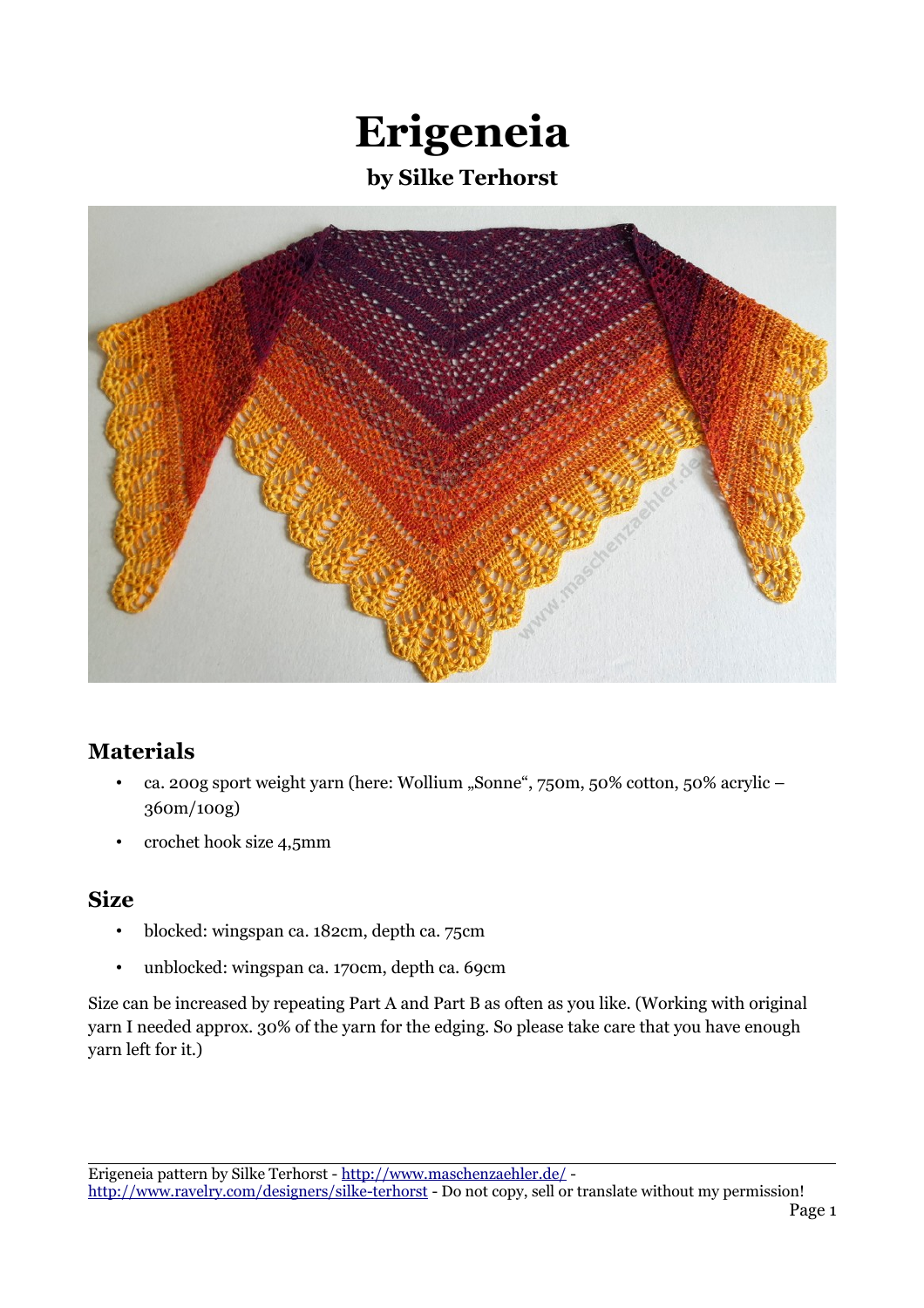# **Erigeneia by Silke Terhorst**



#### **Materials**

- ca. 200g sport weight yarn (here: Wollium "Sonne", 750m, 50% cotton, 50% acrylic -360m/100g)
- crochet hook size 4,5mm

#### **Size**

- blocked: wingspan ca. 182cm, depth ca. 75cm
- unblocked: wingspan ca. 170cm, depth ca. 69cm

Size can be increased by repeating Part A and Part B as often as you like. (Working with original yarn I needed approx. 30% of the yarn for the edging. So please take care that you have enough yarn left for it.)

Erigeneia pattern by Silke Terhorst -<http://www.maschenzaehler.de/>-

<http://www.ravelry.com/designers/silke-terhorst>- Do not copy, sell or translate without my permission!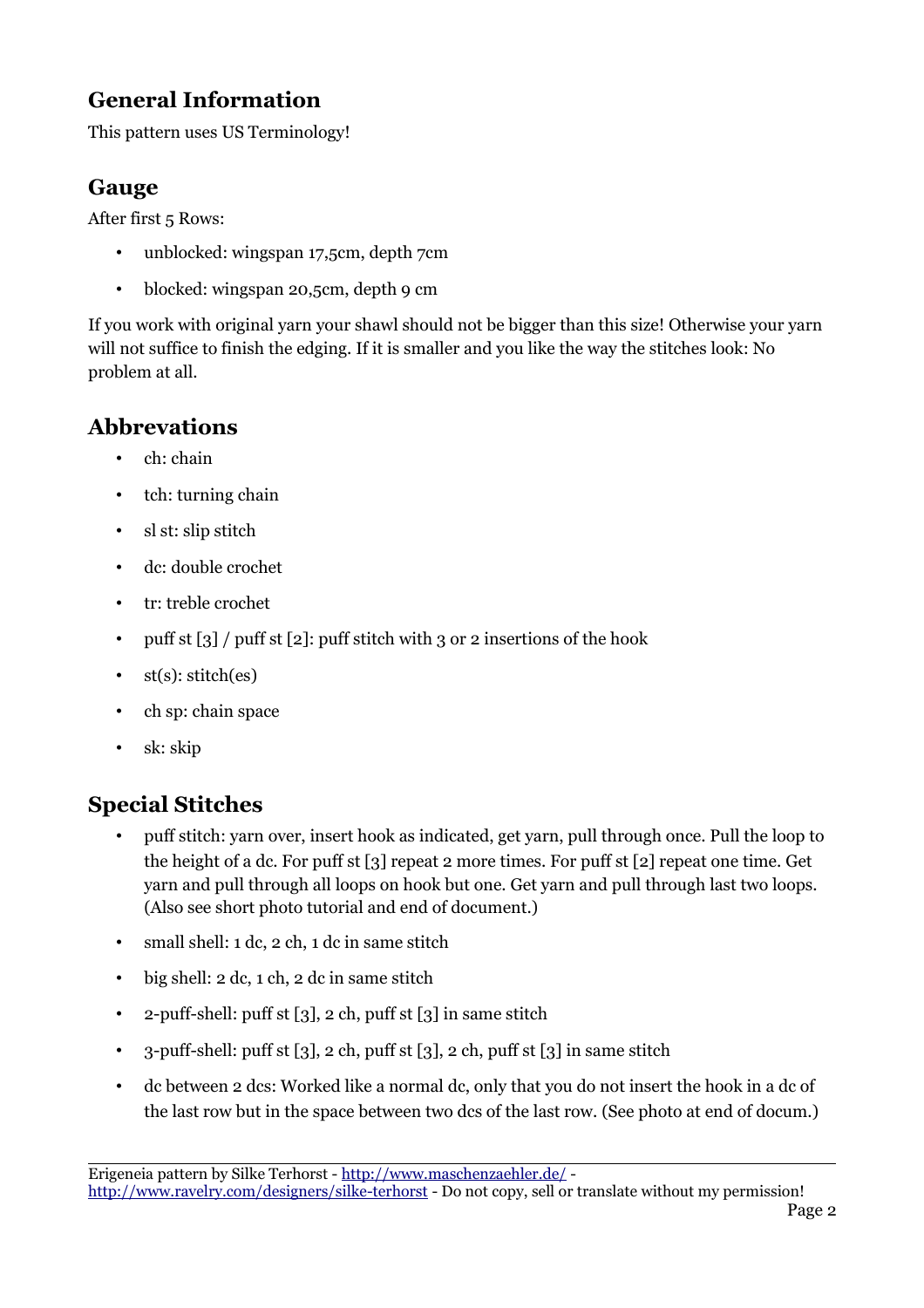#### **General Information**

This pattern uses US Terminology!

#### **Gauge**

After first 5 Rows:

- unblocked: wingspan 17,5cm, depth 7cm
- blocked: wingspan 20,5cm, depth 9 cm

If you work with original yarn your shawl should not be bigger than this size! Otherwise your yarn will not suffice to finish the edging. If it is smaller and you like the way the stitches look: No problem at all.

## **Abbrevations**

- ch: chain
- tch: turning chain
- sl st: slip stitch
- dc: double crochet
- tr: treble crochet
- puff st  $\lceil 3 \rceil$  / puff st  $\lceil 2 \rceil$ : puff stitch with 3 or 2 insertions of the hook
- st(s): stitch(es)
- ch sp: chain space
- sk: skip

#### **Special Stitches**

- puff stitch: yarn over, insert hook as indicated, get yarn, pull through once. Pull the loop to the height of a dc. For puff st [3] repeat 2 more times. For puff st [2] repeat one time. Get yarn and pull through all loops on hook but one. Get yarn and pull through last two loops. (Also see short photo tutorial and end of document.)
- small shell: 1 dc, 2 ch, 1 dc in same stitch
- big shell: 2 dc, 1 ch, 2 dc in same stitch
- 2-puff-shell: puff st  $\lceil 3 \rceil$ , 2 ch, puff st  $\lceil 3 \rceil$  in same stitch
- 3-puff-shell: puff st [3], 2 ch, puff st [3], 2 ch, puff st [3] in same stitch
- dc between 2 dcs: Worked like a normal dc, only that you do not insert the hook in a dc of the last row but in the space between two dcs of the last row. (See photo at end of docum.)

Erigeneia pattern by Silke Terhorst -<http://www.maschenzaehler.de/>-

<http://www.ravelry.com/designers/silke-terhorst>- Do not copy, sell or translate without my permission!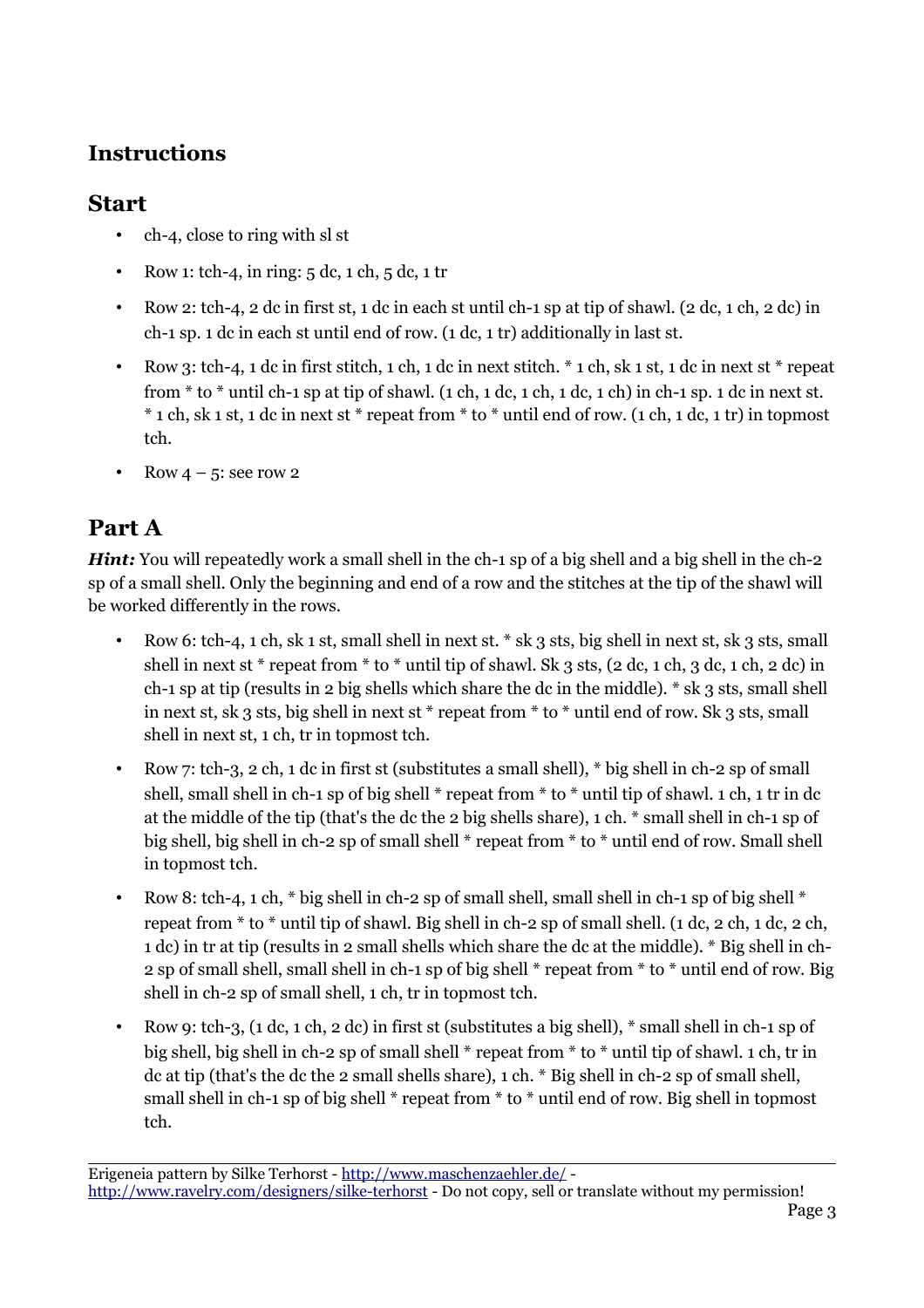#### **Instructions**

#### **Start**

- ch-4, close to ring with sl st
- Row 1: tch-4, in ring:  $5 \text{ dc}, 1 \text{ ch}, 5 \text{ dc}, 1 \text{ tr}$
- Row 2: tch-4, 2 dc in first st, 1 dc in each st until ch-1 sp at tip of shawl.  $(2 \text{ dc}, 1 \text{ ch}, 2 \text{ dc})$  in ch-1 sp. 1 dc in each st until end of row. (1 dc, 1 tr) additionally in last st.
- Row 3: tch-4, 1 dc in first stitch, 1 ch, 1 dc in next stitch. \* 1 ch, sk 1 st, 1 dc in next st \* repeat from  $*$  to  $*$  until ch-1 sp at tip of shawl. (1 ch, 1 dc, 1 ch, 1 dc, 1 ch) in ch-1 sp. 1 dc in next st. \* 1 ch, sk 1 st, 1 dc in next st \* repeat from \* to \* until end of row. (1 ch, 1 dc, 1 tr) in topmost tch.
- Row  $4 5$ : see row 2

## **Part A**

*Hint:* You will repeatedly work a small shell in the ch-1 sp of a big shell and a big shell in the ch-2 sp of a small shell. Only the beginning and end of a row and the stitches at the tip of the shawl will be worked differently in the rows.

- Row 6: tch-4, 1 ch, sk 1 st, small shell in next st. \* sk 3 sts, big shell in next st, sk 3 sts, small shell in next st \* repeat from \* to \* until tip of shawl. Sk 3 sts, (2 dc, 1 ch, 3 dc, 1 ch, 2 dc) in ch-1 sp at tip (results in 2 big shells which share the dc in the middle). \* sk 3 sts, small shell in next st, sk 3 sts, big shell in next st \* repeat from \* to \* until end of row. Sk 3 sts, small shell in next st, 1 ch, tr in topmost tch.
- Row 7: tch-3, 2 ch, 1 dc in first st (substitutes a small shell), \* big shell in ch-2 sp of small shell, small shell in ch-1 sp of big shell \* repeat from \* to \* until tip of shawl. 1 ch, 1 tr in dc at the middle of the tip (that's the dc the 2 big shells share), 1 ch. \* small shell in ch-1 sp of big shell, big shell in ch-2 sp of small shell \* repeat from \* to \* until end of row. Small shell in topmost tch.
- Row 8: tch-4, 1 ch,  $*$  big shell in ch-2 sp of small shell, small shell in ch-1 sp of big shell  $*$ repeat from  $*$  to  $*$  until tip of shawl. Big shell in ch-2 sp of small shell. (1 dc, 2 ch, 1 dc, 2 ch, 1 dc) in tr at tip (results in 2 small shells which share the dc at the middle). \* Big shell in ch-2 sp of small shell, small shell in ch-1 sp of big shell \* repeat from \* to \* until end of row. Big shell in ch-2 sp of small shell, 1 ch, tr in topmost tch.
- Row 9: tch-3, (1 dc, 1 ch, 2 dc) in first st (substitutes a big shell), \* small shell in ch-1 sp of big shell, big shell in ch-2 sp of small shell \* repeat from \* to \* until tip of shawl. 1 ch, tr in dc at tip (that's the dc the 2 small shells share), 1 ch. \* Big shell in ch-2 sp of small shell, small shell in ch-1 sp of big shell \* repeat from \* to \* until end of row. Big shell in topmost tch.

Erigeneia pattern by Silke Terhorst -<http://www.maschenzaehler.de/> <http://www.ravelry.com/designers/silke-terhorst>- Do not copy, sell or translate without my permission!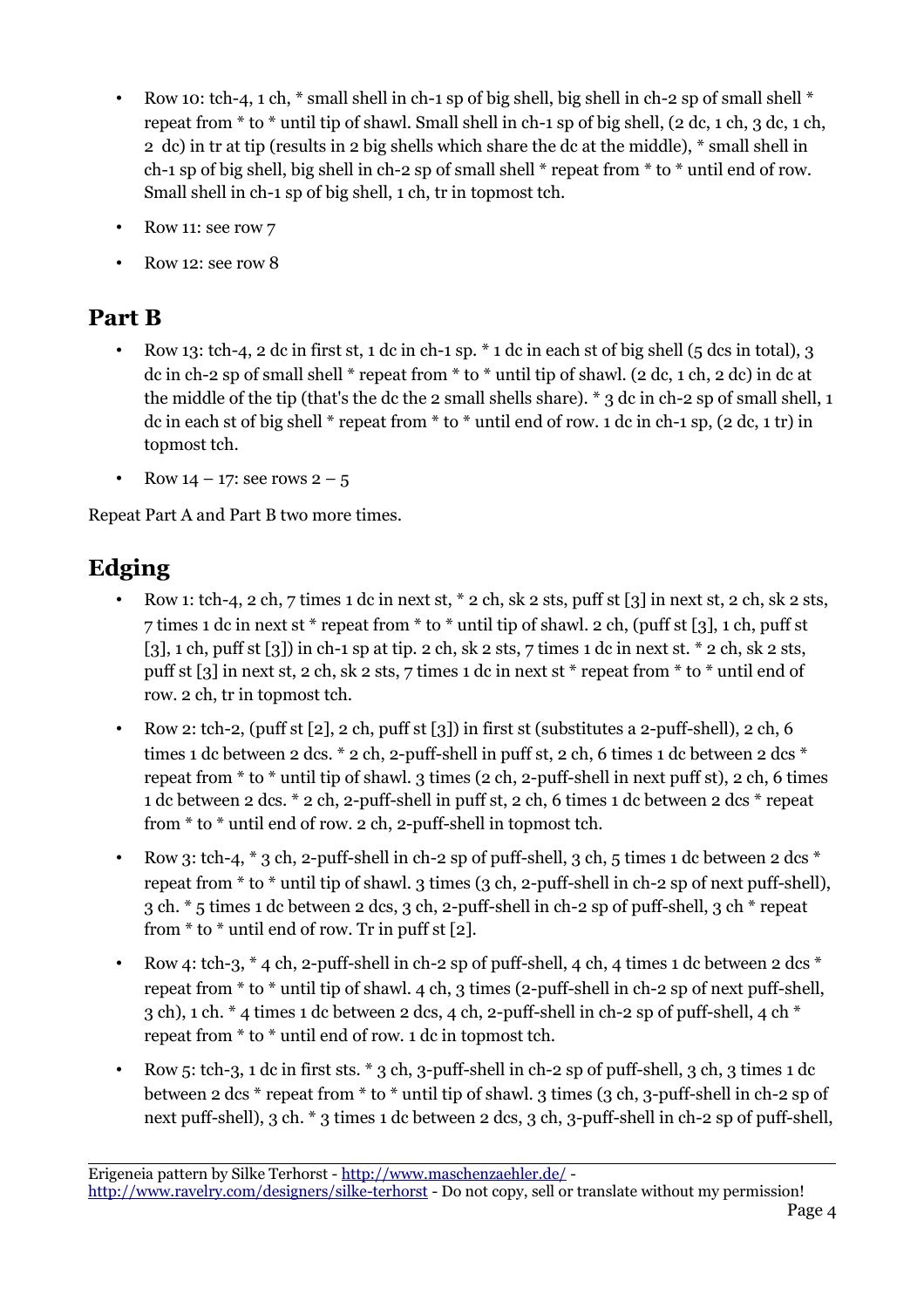- Row 10: tch-4, 1 ch,  $*$  small shell in ch-1 sp of big shell, big shell in ch-2 sp of small shell  $*$ repeat from  $*$  to  $*$  until tip of shawl. Small shell in ch-1 sp of big shell, (2 dc, 1 ch, 3 dc, 1 ch, 2 dc) in tr at tip (results in 2 big shells which share the dc at the middle), \* small shell in ch-1 sp of big shell, big shell in ch-2 sp of small shell \* repeat from \* to \* until end of row. Small shell in ch-1 sp of big shell, 1 ch, tr in topmost tch.
- Row 11: see row 7
- Row 12: see row 8

## **Part B**

- Row 13: tch-4, 2 dc in first st, 1 dc in ch-1 sp.  $*$  1 dc in each st of big shell (5 dcs in total), 3 dc in ch-2 sp of small shell \* repeat from \* to \* until tip of shawl. (2 dc, 1 ch, 2 dc) in dc at the middle of the tip (that's the dc the 2 small shells share). \* 3 dc in ch-2 sp of small shell, 1 dc in each st of big shell  $*$  repeat from  $*$  to  $*$  until end of row. 1 dc in ch-1 sp, (2 dc, 1 tr) in topmost tch.
- Row  $14 17$ : see rows  $2 5$

Repeat Part A and Part B two more times.

## **Edging**

- Row 1: tch-4, 2 ch, 7 times 1 dc in next st, \* 2 ch, sk 2 sts, puff st [3] in next st, 2 ch, sk 2 sts, 7 times 1 dc in next st \* repeat from \* to \* until tip of shawl. 2 ch, (puff st [3], 1 ch, puff st [3], 1 ch, puff st [3]) in ch-1 sp at tip. 2 ch, sk 2 sts, 7 times 1 dc in next st.  $*$  2 ch, sk 2 sts, puff st [3] in next st, 2 ch, sk 2 sts, 7 times 1 dc in next st \* repeat from \* to \* until end of row. 2 ch, tr in topmost tch.
- Row 2: tch-2, (puff st  $[2]$ , 2 ch, puff st  $[3]$ ) in first st (substitutes a 2-puff-shell), 2 ch, 6 times 1 dc between 2 dcs.  $*$  2 ch, 2-puff-shell in puff st, 2 ch, 6 times 1 dc between 2 dcs  $*$ repeat from \* to \* until tip of shawl. 3 times (2 ch, 2-puff-shell in next puff st), 2 ch, 6 times 1 dc between 2 dcs. \* 2 ch, 2-puff-shell in puff st, 2 ch, 6 times 1 dc between 2 dcs \* repeat from \* to \* until end of row. 2 ch, 2-puff-shell in topmost tch.
- Row 3: tch-4,  $*$  3 ch, 2-puff-shell in ch-2 sp of puff-shell, 3 ch, 5 times 1 dc between 2 dcs  $*$ repeat from \* to \* until tip of shawl. 3 times (3 ch, 2-puff-shell in ch-2 sp of next puff-shell), 3 ch. \* 5 times 1 dc between 2 dcs, 3 ch, 2-puff-shell in ch-2 sp of puff-shell, 3 ch \* repeat from  $*$  to  $*$  until end of row. Tr in puff st [2].
- Row 4: tch-3,  $*$  4 ch, 2-puff-shell in ch-2 sp of puff-shell, 4 ch, 4 times 1 dc between 2 dcs  $*$ repeat from \* to \* until tip of shawl. 4 ch, 3 times (2-puff-shell in ch-2 sp of next puff-shell, 3 ch), 1 ch.  $*$  4 times 1 dc between 2 dcs, 4 ch, 2-puff-shell in ch-2 sp of puff-shell, 4 ch  $*$ repeat from \* to \* until end of row. 1 dc in topmost tch.
- Row 5: tch-3, 1 dc in first sts. \* 3 ch, 3-puff-shell in ch-2 sp of puff-shell, 3 ch, 3 times 1 dc between 2 dcs \* repeat from \* to \* until tip of shawl. 3 times (3 ch, 3-puff-shell in ch-2 sp of next puff-shell), 3 ch. \* 3 times 1 dc between 2 dcs, 3 ch, 3-puff-shell in ch-2 sp of puff-shell,

Erigeneia pattern by Silke Terhorst -<http://www.maschenzaehler.de/> <http://www.ravelry.com/designers/silke-terhorst>- Do not copy, sell or translate without my permission!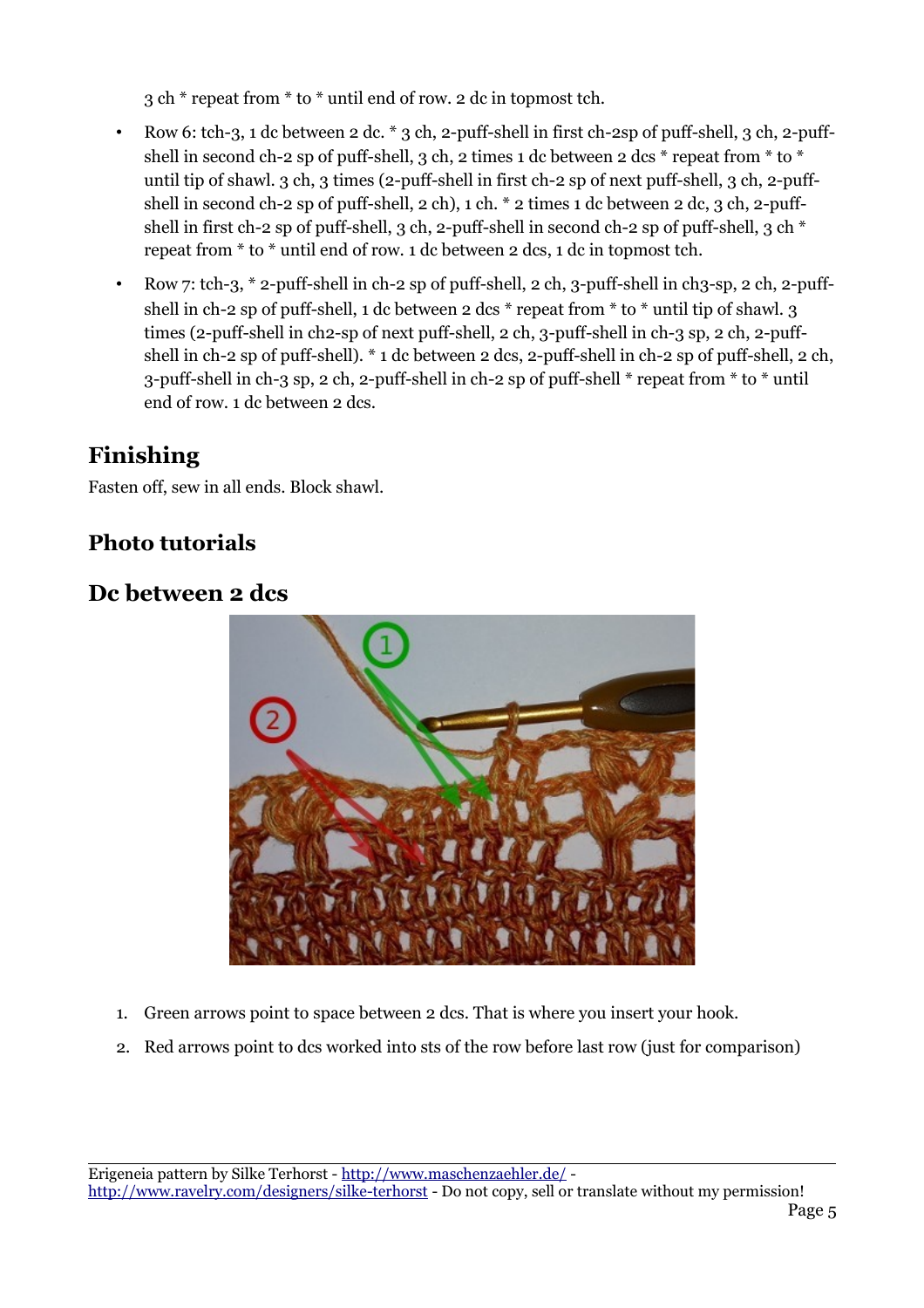3 ch \* repeat from \* to \* until end of row. 2 dc in topmost tch.

- Row 6: tch-3, 1 dc between 2 dc.  $*$  3 ch, 2-puff-shell in first ch-2sp of puff-shell, 3 ch, 2-puffshell in second ch-2 sp of puff-shell, 3 ch, 2 times 1 dc between 2 dcs  $*$  repeat from  $*$  to  $*$ until tip of shawl. 3 ch, 3 times (2-puff-shell in first ch-2 sp of next puff-shell, 3 ch, 2-puffshell in second ch-2 sp of puff-shell, 2 ch), 1 ch. \* 2 times 1 dc between 2 dc, 3 ch, 2-puffshell in first ch-2 sp of puff-shell, 3 ch, 2-puff-shell in second ch-2 sp of puff-shell, 3 ch \* repeat from \* to \* until end of row. 1 dc between 2 dcs, 1 dc in topmost tch.
- Row 7: tch-3, \* 2-puff-shell in ch-2 sp of puff-shell, 2 ch, 3-puff-shell in ch3-sp, 2 ch, 2-puffshell in ch-2 sp of puff-shell, 1 dc between 2 dcs \* repeat from \* to \* until tip of shawl. 3 times (2-puff-shell in ch2-sp of next puff-shell, 2 ch, 3-puff-shell in ch-3 sp, 2 ch, 2-puffshell in ch-2 sp of puff-shell). \* 1 dc between 2 dcs, 2-puff-shell in ch-2 sp of puff-shell, 2 ch, 3-puff-shell in ch-3 sp, 2 ch, 2-puff-shell in ch-2 sp of puff-shell \* repeat from \* to \* until end of row. 1 dc between 2 dcs.

## **Finishing**

Fasten off, sew in all ends. Block shawl.

#### **Photo tutorials**

#### **Dc between 2 dcs**



- 1. Green arrows point to space between 2 dcs. That is where you insert your hook.
- 2. Red arrows point to dcs worked into sts of the row before last row (just for comparison)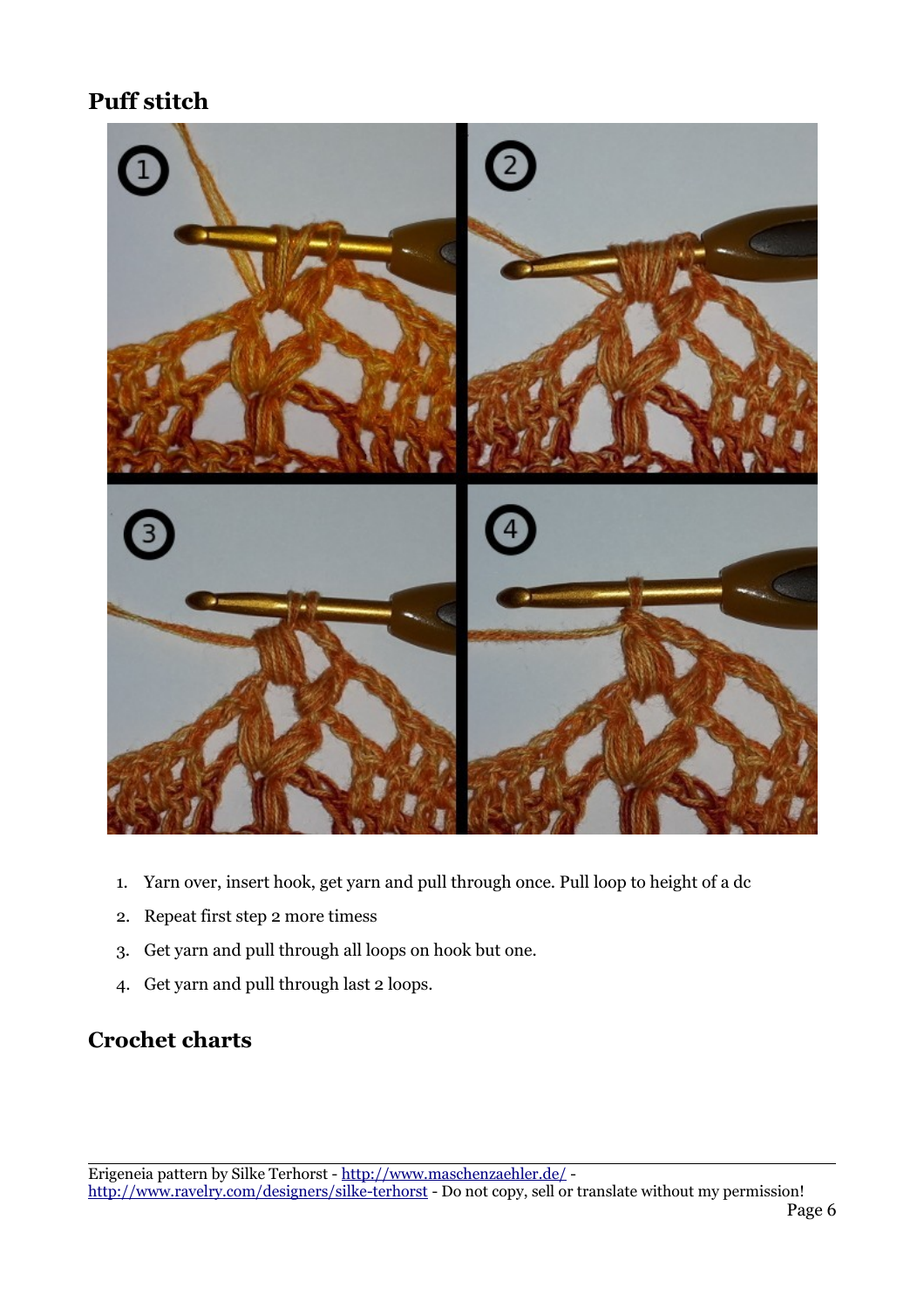## **Puff stitch**



- 1. Yarn over, insert hook, get yarn and pull through once. Pull loop to height of a dc
- 2. Repeat first step 2 more timess
- 3. Get yarn and pull through all loops on hook but one.
- 4. Get yarn and pull through last 2 loops.

#### **Crochet charts**

Erigeneia pattern by Silke Terhorst -<http://www.maschenzaehler.de/>-

<http://www.ravelry.com/designers/silke-terhorst>- Do not copy, sell or translate without my permission!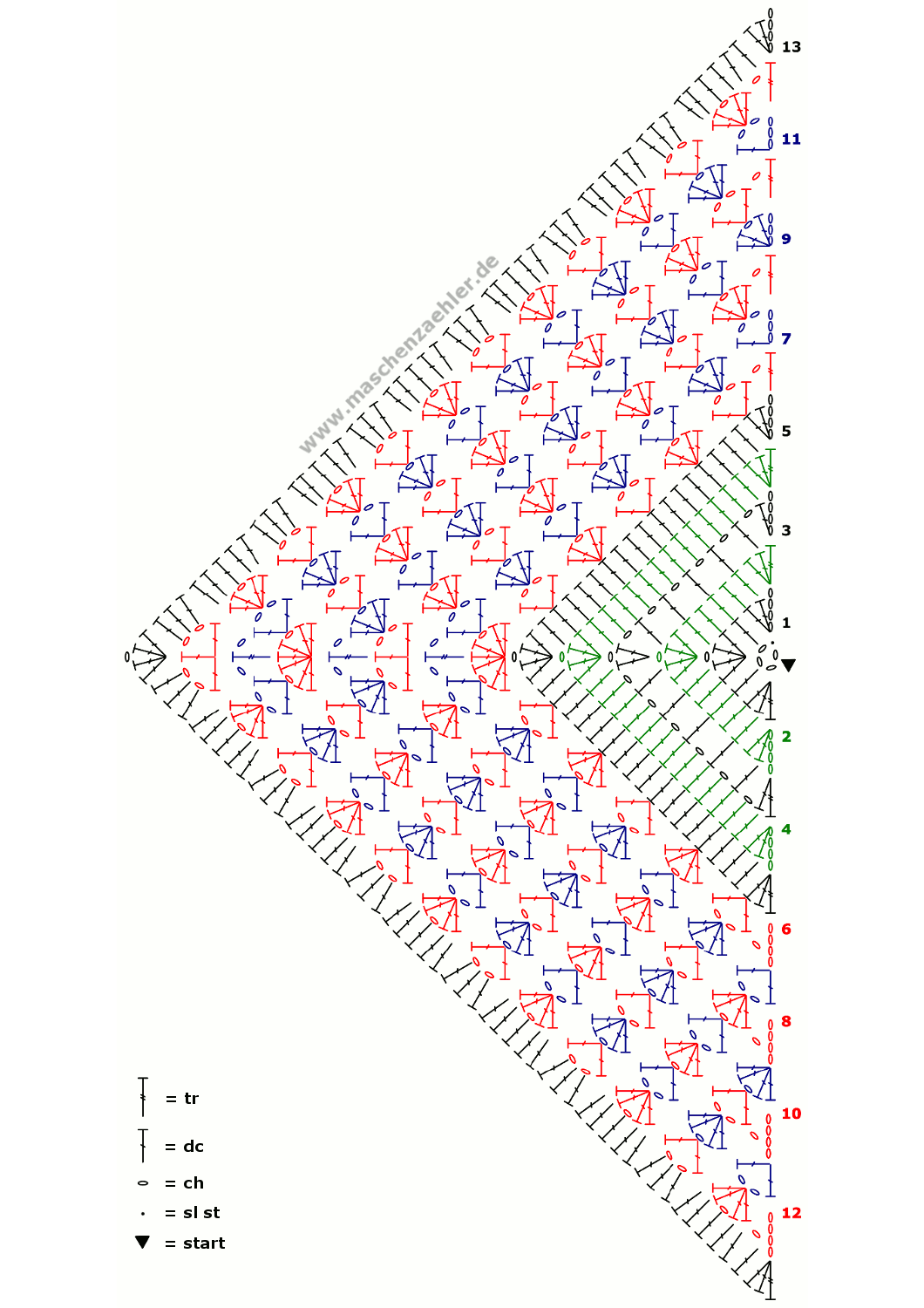